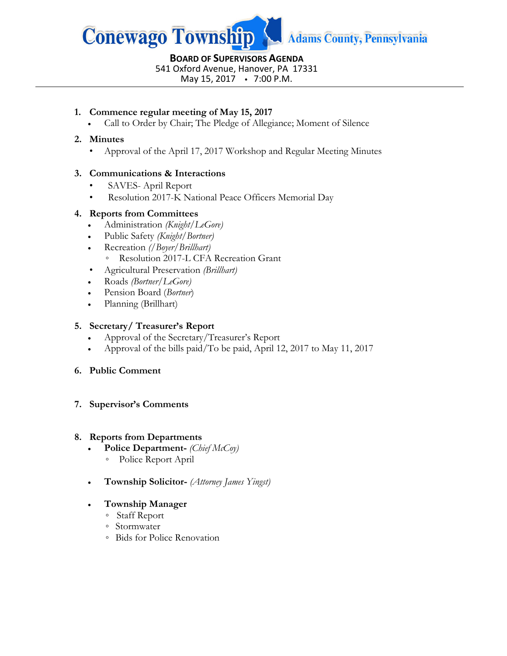

**BOARD OF SUPERVISORS AGENDA** 541 Oxford Avenue, Hanover, PA 17331 May 15, 2017 • 7:00 P.M.

# **1. Commence regular meeting of May 15, 2017**

• Call to Order by Chair; The Pledge of Allegiance; Moment of Silence

# **2. Minutes**

• Approval of the April 17, 2017 Workshop and Regular Meeting Minutes

# **3. Communications & Interactions**

- SAVES- April Report
- Resolution 2017-K National Peace Officers Memorial Day

### **4. Reports from Committees**

- Administration *(Knight/LeGore)*
- Public Safety *(Knight/Bortner)*
- Recreation *(/Boyer/Brillhart)* ◦ Resolution 2017-L CFA Recreation Grant
- Agricultural Preservation *(Brillhart)*
- Roads *(Bortner/LeGore)*
- Pension Board (*Bortner*)
- Planning (Brillhart)

# **5. Secretary/ Treasurer's Report**

- Approval of the Secretary/Treasurer's Report
- Approval of the bills paid/To be paid, April 12, 2017 to May 11, 2017

# **6. Public Comment**

# **7. Supervisor's Comments**

#### **8. Reports from Departments**

- **Police Department-** *(Chief McCoy)*
	- Police Report April
- **Township Solicitor-** *(Attorney James Yingst)*

# • **Township Manager**

- Staff Report
- Stormwater
- Bids for Police Renovation